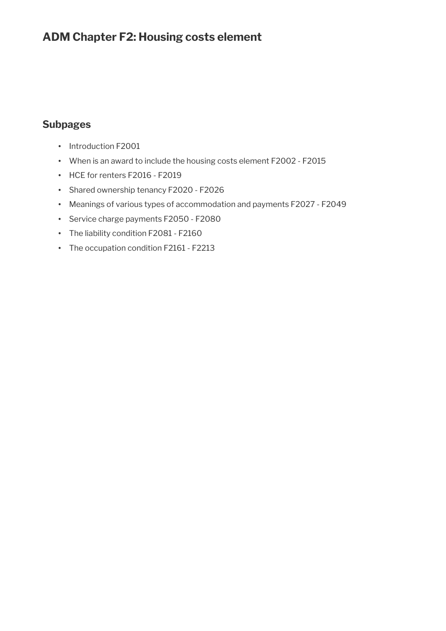# **ADM Chapter F2: Housing costs element**

## **Subpages**

- Introduction F2001
- When is an award to include the housing costs element F2002 F2015
- HCE for renters F2016 F2019
- Shared ownership tenancy F2020 F2026
- Meanings of various types of accommodation and payments F2027 F2049
- Service charge payments F2050 F2080
- The liability condition F2081 F2160
- The occupation condition F2161 F2213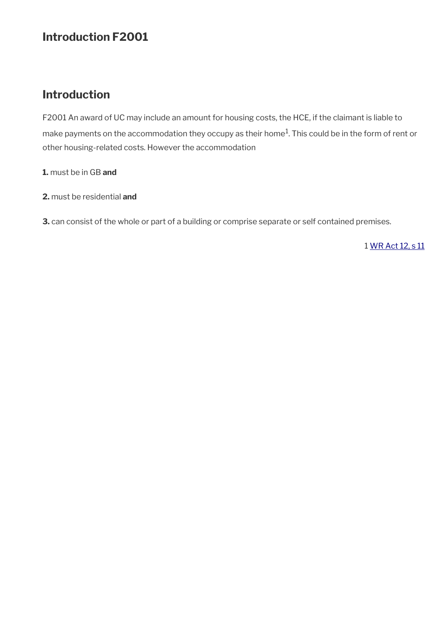# **Introduction F2001**

# **Introduction**

F2001 An award of UC may include an amount for housing costs, the HCE, if the claimant is liable to make payments on the accommodation they occupy as their home $^{\rm 1}$ . This could be in the form of rent or other housing-related costs. However the accommodation

**1.** must be in GB **and**

**2.** must be residential **and**

**3.** can consist of the whole or part of a building or comprise separate or self contained premises.

1 [WR Act 12, s 11](http://www.legislation.gov.uk/ukpga/2012/5/section/11)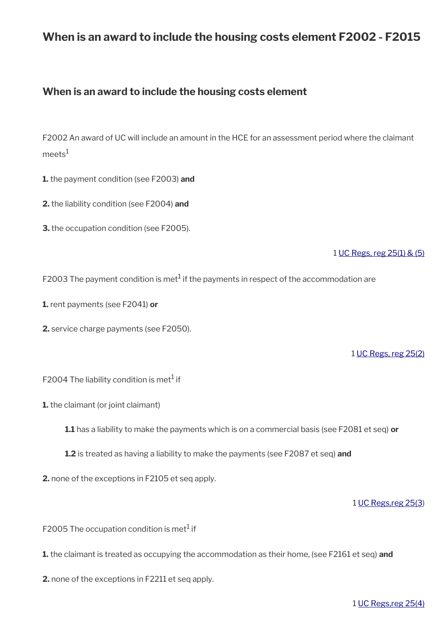# **When is an award to include the housing costs element F2002 - F2015**

## **When is an award to include the housing costs element**

F2002 An award of UC will include an amount in the HCE for an assessment period where the claimant  $m$ eets $1$ 

**1.** the payment condition (see F2003) **and**

**2.** the liability condition (see F2004) **and**

**3.** the occupation condition (see F2005).

1 [UC Regs, reg 25\(1\) & \(5\)](http://www.legislation.gov.uk/uksi/2013/376/regulation/25)

F2003 The payment condition is met $^1$  if the payments in respect of the accommodation are

**1.** rent payments (see F2041) **or**

**2.** service charge payments (see F2050).

#### 1 [UC Regs, reg 25\(2\)](http://www.legislation.gov.uk/uksi/2013/376/regulation/25)

F2004 The liability condition is met $^1$  if

**1.** the claimant (or joint claimant)

**1.1** has a liability to make the payments which is on a commercial basis (see F2081 et seq) **or**

**1.2** is treated as having a liability to make the payments (see F2087 et seq) **and**

**2.** none of the exceptions in F2105 et seq apply.

1 [UC Regs,reg 25\(3](http://www.legislation.gov.uk/uksi/2013/376/regulation/25))

F2005 The occupation condition is met $^1$  if

**1.** the claimant is treated as occupying the accommodation as their home, (see F2161 et seq) **and**

**2.** none of the exceptions in F2211 et seq apply.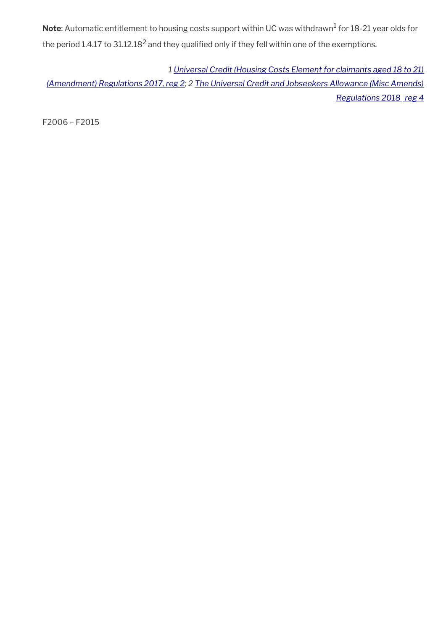**Note**: Automatic entitlement to housing costs support within UC was withdrawn<sup>1</sup> for 18-21 year olds for the period 1.4.17 to 31.12.18<sup>2</sup> and they qualified only if they fell within one of the exemptions.

*1 [Universal Credit \(Housing Costs Element for claimants aged 18 to 21\)](http://www.legislation.gov.uk/uksi/2017/252/regulation/2) [\(Amendment\) Regulations 2017, reg 2;](http://www.legislation.gov.uk/uksi/2017/252/regulation/2) 2 [The Universal Credit and Jobseekers Allowance \(Misc Amends\)](http://www.legislation.gov.uk/uksi/2018/1129/regulation/4/made) [Regulations 2018 reg 4](http://www.legislation.gov.uk/uksi/2018/1129/regulation/4/made)*

F2006 – F2015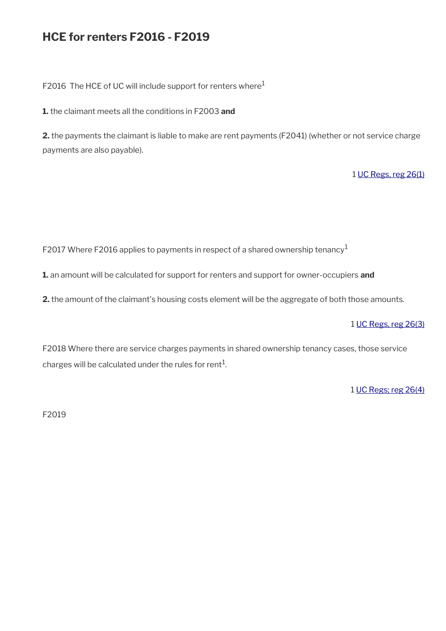# **HCE for renters F2016 - F2019**

F2016 The HCE of UC will include support for renters where<sup>1</sup>

**1.** the claimant meets all the conditions in F2003 **and**

**2.** the payments the claimant is liable to make are rent payments (F2041) (whether or not service charge payments are also payable).

1 [UC Regs, reg 26\(1\)](http://www.legislation.gov.uk/uksi/2013/376/regulation/26)

F2017 Where F2016 applies to payments in respect of a shared ownership tenancy<sup>1</sup>

**1.** an amount will be calculated for support for renters and support for owner-occupiers **and**

**2.** the amount of the claimant's housing costs element will be the aggregate of both those amounts.

1 [UC Regs, reg 26\(3\)](http://www.legislation.gov.uk/uksi/2013/376/regulation/26)

F2018 Where there are service charges payments in shared ownership tenancy cases, those service charges will be calculated under the rules for rent $^1$ .

1 [UC Regs; reg 26\(4\)](http://www.legislation.gov.uk/uksi/2013/376/regulation/26)

F2019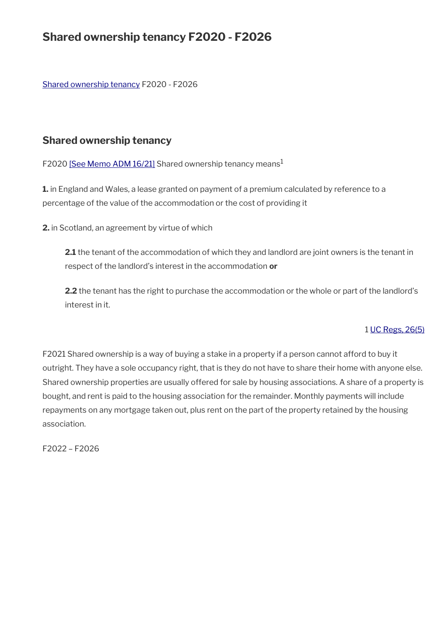# **Shared ownership tenancy F2020 - F2026**

[Shared ownership tenancy](#page-5-0) F2020 - F2026

## <span id="page-5-0"></span>**Shared ownership tenancy**

F2020 [\[See Memo ADM 16/21\]](https://intranet.dwp.gov.uk/manual/advice-decision-making-adm/16-21-under-occupancy-deduction-%E2%80%93-sanctuary-scheme) Shared ownership tenancy means<sup>1</sup>

**1.** in England and Wales, a lease granted on payment of a premium calculated by reference to a percentage of the value of the accommodation or the cost of providing it

**2.** in Scotland, an agreement by virtue of which

**2.1** the tenant of the accommodation of which they and landlord are joint owners is the tenant in respect of the landlord's interest in the accommodation **or**

**2.2** the tenant has the right to purchase the accommodation or the whole or part of the landlord's interest in it.

#### 1 [UC Regs, 26\(5\)](http://www.legislation.gov.uk/uksi/2013/376/regulation/26)

F2021 Shared ownership is a way of buying a stake in a property if a person cannot afford to buy it outright. They have a sole occupancy right, that is they do not have to share their home with anyone else. Shared ownership properties are usually offered for sale by housing associations. A share of a property is bought, and rent is paid to the housing association for the remainder. Monthly payments will include repayments on any mortgage taken out, plus rent on the part of the property retained by the housing association.

F2022 – F2026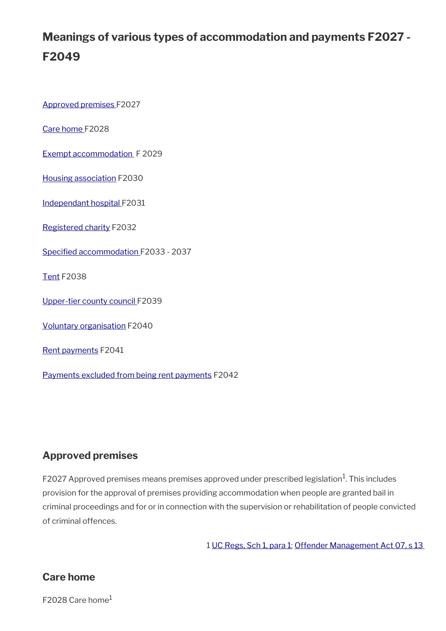# **Meanings of various types of accommodation and payments F2027 - F2049**

[Approved premises](#page-6-0) F2027

Care home F2028

Exempt accommodatio[n](#page-7-1) F 2029

[Housing association](#page-7-0) F2030

Independant hospital F2031

[Registered charity](#page-8-1) F2032

[Specifed accommodation](#page-8-0) F2033 - 2037

**[Tent](#page-9-3) F2038** 

[Upper-tier county council](#page-9-2) F2039

[Voluntary organisation](#page-9-1) F2040

[Rent payments](#page-9-0) F2041

[Payments excluded from being rent payments](#page-10-0) F2042

## <span id="page-6-0"></span>**Approved premises**

F2027 Approved premises means premises approved under prescribed legislation<sup>1</sup>. This includes provision for the approval of premises providing accommodation when people are granted bail in criminal proceedings and for or in connection with the supervision or rehabilitation of people convicted of criminal offences.

1 [UC Regs, Sch 1, para 1;](http://www.legislation.gov.uk/uksi/2013/376/schedule/1) [Offender Management Act 07, s 13](http://www.legislation.gov.uk/ukpga/2007/21/section/13) 

## **Care home**

F2028 Care home<sup>1</sup>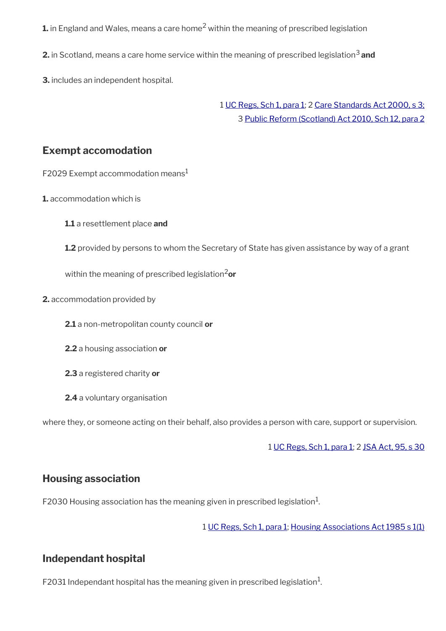${\bf 1}$  in England and Wales, means a care home<sup>2</sup> within the meaning of prescribed legislation

**2.** in Scotland, means a care home service within the meaning of prescribed legislation<sup>3</sup> and

**3.** includes an independent hospital.

1 [UC Regs, Sch 1, para 1;](http://www.legislation.gov.uk/uksi/2013/376/schedule/1) 2 [Care Standards Act 2000, s 3;](http://www.legislation.gov.uk/ukpga/2000/14/section/3) 3 [Public Reform \(Scotland\) Act 2010, Sch 12, para 2](http://www.legislation.gov.uk/asp/2010/8/section/12)

## <span id="page-7-1"></span>**Exempt accomodation**

F2029 Exempt accommodation means<sup>1</sup>

**1.** accommodation which is

**1.1** a resettlement place **and**

**1.2** provided by persons to whom the Secretary of State has given assistance by way of a grant

within the meaning of prescribed legislation2**or**

- **2.** accommodation provided by
	- **2.1** a non-metropolitan county council **or**
	- **2.2** a housing association **or**
	- **2.3** a registered charity **or**
	- **2.4** a voluntary organisation

where they, or someone acting on their behalf, also provides a person with care, support or supervision.

1 [UC Regs, Sch 1, para 1](http://www.legislation.gov.uk/uksi/2013/376/schedule/1); 2 [JSA Act, 95, s 30](http://www.legislation.gov.uk/ukpga/1995/18/section/30)

## <span id="page-7-0"></span>**Housing association**

F2030 Housing association has the meaning given in prescribed legislation $^{\mathrm{1}}$ .

1 [UC Regs, Sch 1, para 1](http://www.legislation.gov.uk/uksi/2013/376/schedule/1); [Housing Associations Act 1985 s 1\(1\)](http://www.legislation.gov.uk/ukpga/1985/69/section/1)

## **Independant hospital**

<code>F2O31</code> Independant hospital has the meaning given in prescribed legislation $^{\mathrm{1}}$ .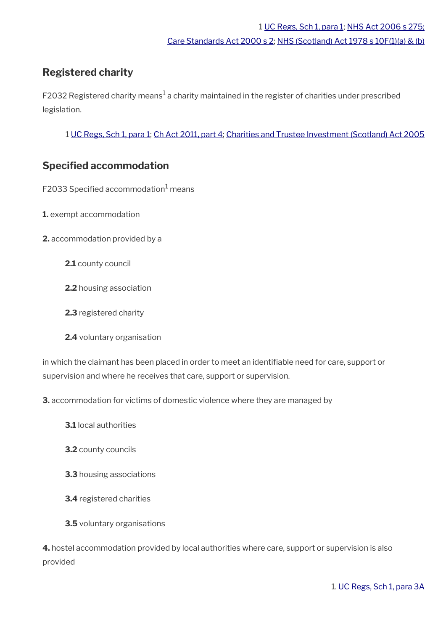## <span id="page-8-1"></span>**Registered charity**

F2032 Registered charity means $^1$  a charity maintained in the register of charities under prescribed legislation.

1 [UC Regs, Sch 1, para 1](http://www.legislation.gov.uk/uksi/2013/376/schedule/1); [Ch Act 2011, part 4;](http://www.legislation.gov.uk/ukpga/2011/25/section/4) [Charities and Trustee Investment \(Scotland\) Act 2005](http://www.legislation.gov.uk/asp/2005/10/contents)

## <span id="page-8-0"></span>**Specifed accommodation**

F2033 Specified accommodation $^{\rm 1}$  means

- **1.** exempt accommodation
- **2.** accommodation provided by a
	- **2.1** county council
	- **2.2** housing association
	- **2.3** registered charity
	- **2.4** voluntary organisation

in which the claimant has been placed in order to meet an identifable need for care, support or supervision and where he receives that care, support or supervision.

**3.** accommodation for victims of domestic violence where they are managed by

- **3.1** local authorities
- **3.2** county councils
- **3.3** housing associations
- **3.4** registered charities
- **3.5** voluntary organisations

**4.** hostel accommodation provided by local authorities where care, support or supervision is also provided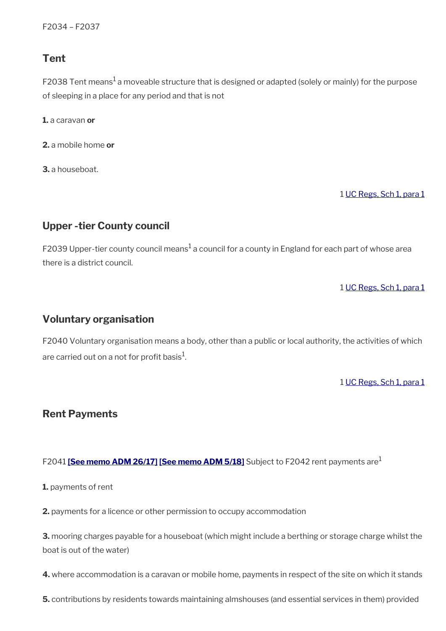## <span id="page-9-3"></span>**Tent**

F2038 Tent means<sup>1</sup> a moveable structure that is designed or adapted (solely or mainly) for the purpose of sleeping in a place for any period and that is not

**1.** a caravan **or**

**2.** a mobile home **or**

**3.** a houseboat.

1 [UC Regs, Sch 1, para 1](http://www.legislation.gov.uk/uksi/2013/376/schedule/1)

## <span id="page-9-2"></span>**Upper -tier County council**

F2039 Upper-tier county council means $^1$  a council for a county in England for each part of whose area there is a district council.

1 [UC Regs, Sch 1, para 1](http://www.legislation.gov.uk/uksi/2013/376/schedule/1)

## <span id="page-9-1"></span>**Voluntary organisation**

F2040 Voluntary organisation means a body, other than a public or local authority, the activities of which are carried out on a not for profit basis $^1\!\!$ .

1 [UC Regs, Sch 1, para 1](http://www.legislation.gov.uk/uksi/2013/376/schedule/1)

## <span id="page-9-0"></span>**Rent Payments**

F2041 **[\[See memo ADM 26/17\]](http://intranet.dwp.gov.uk/manual/advice-decision-making-adm/memo-adm-2617-operation-claims-and-payments-system-uc-relation-scotland) [\[See memo ADM 5/18\]](http://intranet.dwp.gov.uk/manual/advice-decision-making-adm/5-18-application-universal-credit-claims-and-payments-scotland-amendment-regulations-2017-operations)** Subject to F2042 rent payments are<sup>1</sup>

**1.** payments of rent

**2.** payments for a licence or other permission to occupy accommodation

**3.** mooring charges payable for a houseboat (which might include a berthing or storage charge whilst the boat is out of the water)

**4.** where accommodation is a caravan or mobile home, payments in respect of the site on which it stands

**5.** contributions by residents towards maintaining almshouses (and essential services in them) provided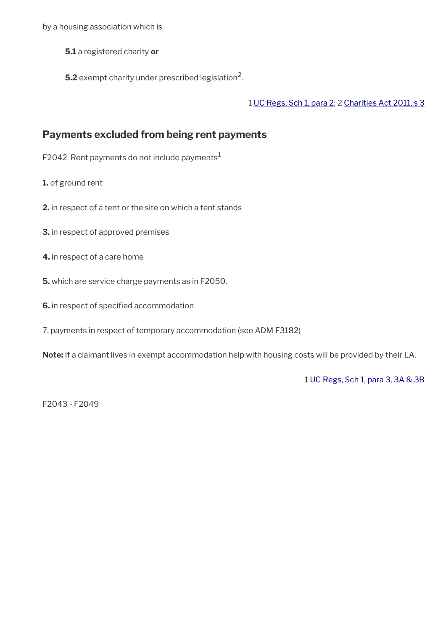by a housing association which is

**5.1** a registered charity **or**

**5.2** exempt charity under prescribed legislation<sup>2</sup>.

1 [UC Regs, Sch 1, para 2](http://www.legislation.gov.uk/uksi/2013/376/schedule/1); 2 [Charities Act 2011, s 3](http://www.legislation.gov.uk/ukpga/2011/25/section/3)

## <span id="page-10-0"></span>**Payments excluded from being rent payments**

F2042 Rent payments do not include payments $^1$ 

**1.** of ground rent

- **2.** in respect of a tent or the site on which a tent stands
- **3.** in respect of approved premises
- **4.** in respect of a care home
- **5.** which are service charge payments as in F2050.
- **6.** in respect of specified accommodation
- 7. payments in respect of temporary accommodation (see ADM F3182)

**Note:** If a claimant lives in exempt accommodation help with housing costs will be provided by their LA.

1 [UC Regs, Sch 1, para 3, 3A & 3B](http://www.legislation.gov.uk/uksi/2013/376/schedule/1)

F2043 - F2049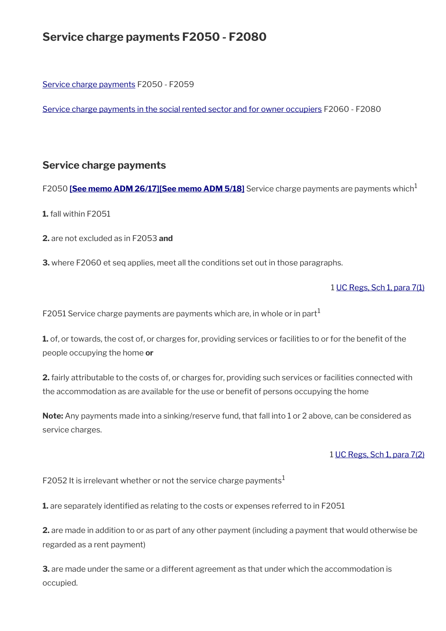# **Service charge payments F2050 - F2080**

[Service charge payments](#page-11-0) F2050 - F2059

[Service charge payments in the social rented sector and for owner occupiers](#page-12-0) F2060 - F2080

## <span id="page-11-0"></span>**Service charge payments**

F2050 **[\[See memo ADM 26/17\]](http://intranet.dwp.gov.uk/manual/advice-decision-making-adm/memo-adm-2617-operation-claims-and-payments-system-uc-relation-scotland) [\[See memo ADM 5/18\]](http://intranet.dwp.gov.uk/manual/advice-decision-making-adm/5-18-application-universal-credit-claims-and-payments-scotland-amendment-regulations-2017-operations)** Service charge payments are payments which<sup>1</sup>

**1.** fall within F2051

**2.** are not excluded as in F2053 **and**

**3.** where F2060 et seq applies, meet all the conditions set out in those paragraphs.

1 [UC Regs, Sch 1, para 7\(1\)](http://www.legislation.gov.uk/uksi/2013/376/schedule/1)

F2051 Service charge payments are payments which are, in whole or in part<sup>1</sup>

**1.** of, or towards, the cost of, or charges for, providing services or facilities to or for the benefit of the people occupying the home **or**

**2.** fairly attributable to the costs of, or charges for, providing such services or facilities connected with the accommodation as are available for the use or benefit of persons occupying the home

**Note:** Any payments made into a sinking/reserve fund, that fall into 1 or 2 above, can be considered as service charges.

#### 1 [UC Regs, Sch 1, para 7\(2\)](http://www.legislation.gov.uk/uksi/2013/376/schedule/1)

F2052 It is irrelevant whether or not the service charge payments<sup>1</sup>

**1.** are separately identifed as relating to the costs or expenses referred to in F2051

**2.** are made in addition to or as part of any other payment (including a payment that would otherwise be regarded as a rent payment)

**3.** are made under the same or a different agreement as that under which the accommodation is occupied.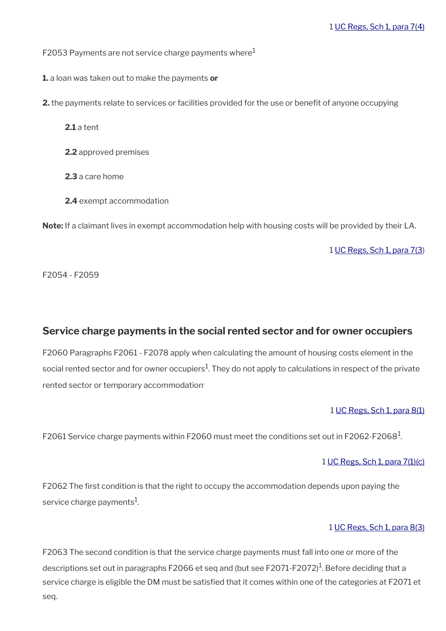F2053 Payments are not service charge payments where<sup>1</sup>

**1.** a loan was taken out to make the payments **or**

**2.** the payments relate to services or facilities provided for the use or benefit of anyone occupying

**2.1** a tent

- **2.2** approved premises
- **2.3** a care home
- **2.4** exempt accommodation

**Note:** If a claimant lives in exempt accommodation help with housing costs will be provided by their LA.

1 [UC Regs, Sch 1, para 7\(3](http://www.legislation.gov.uk/uksi/2013/376/schedule/1))

F2054 - F2059

## <span id="page-12-0"></span>**Service charge payments in the social rented sector and for owner occupiers**

F2060 Paragraphs F2061 - F2078 apply when calculating the amount of housing costs element in the social rented sector and for owner occupiers $^1$ . They do not apply to calculations in respect of the private rented sector or temporary accommodation.

#### 1 [UC Regs, Sch 1, para 8\(1\)](http://www.legislation.gov.uk/uksi/2013/376/schedule/1)

<code>F2061</code> Service charge payments within <code>F2060</code> must meet the conditions set out in <code>F2062-F2068 $^{\rm 1}$ .</code>

#### 1 [UC Regs, Sch 1, para 7\(1\)\(c\)](http://www.legislation.gov.uk/uksi/2013/376/schedule/1)

F2062 The first condition is that the right to occupy the accommodation depends upon paying the service charge payments $^{\rm 1}$ .

#### 1 [UC Regs, Sch 1, para 8\(3\)](http://www.legislation.gov.uk/uksi/2013/376/schedule/1)

F2063 The second condition is that the service charge payments must fall into one or more of the descriptions set out in paragraphs F2066 et seq and (but see F2071-F2072) $^1$ . Before deciding that a service charge is eligible the DM must be satisfed that it comes within one of the categories at F2071 et seq.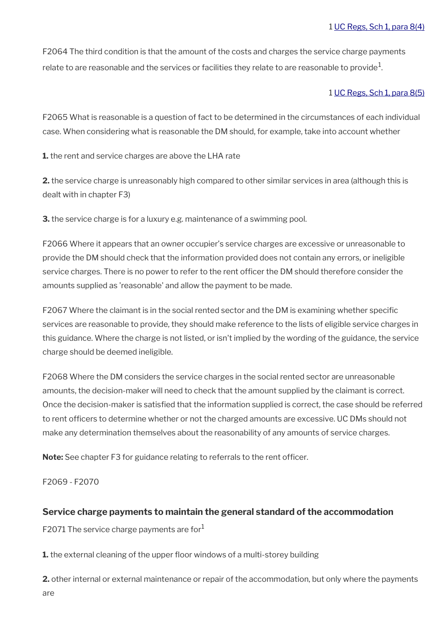#### 1 [UC Regs, Sch 1, para 8\(4\)](http://www.legislation.gov.uk/uksi/2013/376/schedule/1)

F2064 The third condition is that the amount of the costs and charges the service charge payments relate to are reasonable and the services or facilities they relate to are reasonable to provide $^1\!$ 

#### 1 [UC Regs, Sch 1, para 8\(5\)](http://www.legislation.gov.uk/uksi/2013/376/schedule/1)

F2065 What is reasonable is a question of fact to be determined in the circumstances of each individual case. When considering what is reasonable the DM should, for example, take into account whether

**1.** the rent and service charges are above the LHA rate

**2.** the service charge is unreasonably high compared to other similar services in area (although this is dealt with in chapter F3)

**3.** the service charge is for a luxury e.g. maintenance of a swimming pool.

F2066 Where it appears that an owner occupier's service charges are excessive or unreasonable to provide the DM should check that the information provided does not contain any errors, or ineligible service charges. There is no power to refer to the rent officer the DM should therefore consider the amounts supplied as 'reasonable' and allow the payment to be made.

F2067 Where the claimant is in the social rented sector and the DM is examining whether specifc services are reasonable to provide, they should make reference to the lists of eligible service charges in this guidance. Where the charge is not listed, or isn't implied by the wording of the guidance, the service charge should be deemed ineligible.

F2068 Where the DM considers the service charges in the social rented sector are unreasonable amounts, the decision-maker will need to check that the amount supplied by the claimant is correct. Once the decision-maker is satisfed that the information supplied is correct, the case should be referred to rent officers to determine whether or not the charged amounts are excessive. UC DMs should not make any determination themselves about the reasonability of any amounts of service charges.

**Note:** See chapter F3 for guidance relating to referrals to the rent officer.

F2069 - F2070

#### **Service charge payments to maintain the general standard of the accommodation**

F2071 The service charge payments are for $1$ 

**1.** the external cleaning of the upper floor windows of a multi-storey building

**2.** other internal or external maintenance or repair of the accommodation, but only where the payments are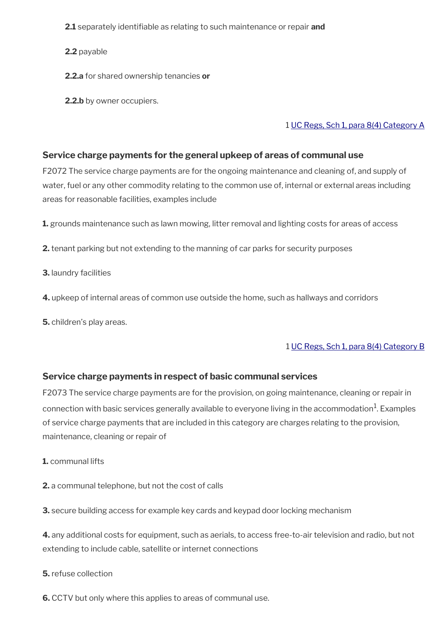**2.1** separately identifable as relating to such maintenance or repair **and**

**2.2** payable

**2.2.a** for shared ownership tenancies **or**

**2.2.b** by owner occupiers.

### 1 [UC Regs, Sch 1, para 8\(4\) Category A](http://www.legislation.gov.uk/uksi/2013/376/schedule/1)

#### **Service charge payments for the general upkeep of areas of communal use**

F2072 The service charge payments are for the ongoing maintenance and cleaning of, and supply of water, fuel or any other commodity relating to the common use of, internal or external areas including areas for reasonable facilities, examples include

**1.** grounds maintenance such as lawn mowing, litter removal and lighting costs for areas of access

- **2.** tenant parking but not extending to the manning of car parks for security purposes
- **3.** laundry facilities
- **4.** upkeep of internal areas of common use outside the home, such as hallways and corridors

**5.** children's play areas.

#### 1 [UC Regs, Sch 1, para 8\(4\) Category B](http://www.legislation.gov.uk/uksi/2013/376/schedule/1)

#### **Service charge payments in respect of basic communal services**

F2073 The service charge payments are for the provision, on going maintenance, cleaning or repair in connection with basic services generally available to everyone living in the accommodation $^1$ . Examples of service charge payments that are included in this category are charges relating to the provision, maintenance, cleaning or repair of

#### **1.** communal lifts

**2.** a communal telephone, but not the cost of calls

**3.** secure building access for example key cards and keypad door locking mechanism

**4.** any additional costs for equipment, such as aerials, to access free-to-air television and radio, but not extending to include cable, satellite or internet connections

**5.** refuse collection

**6.** CCTV but only where this applies to areas of communal use.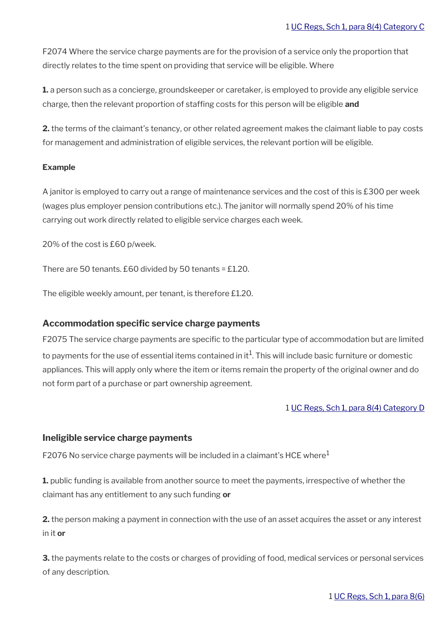F2074 Where the service charge payments are for the provision of a service only the proportion that directly relates to the time spent on providing that service will be eligible. Where

**1.** a person such as a concierge, groundskeeper or caretaker, is employed to provide any eligible service charge, then the relevant proportion of staffng costs for this person will be eligible **and**

**2.** the terms of the claimant's tenancy, or other related agreement makes the claimant liable to pay costs for management and administration of eligible services, the relevant portion will be eligible.

#### **Example**

A janitor is employed to carry out a range of maintenance services and the cost of this is £300 per week (wages plus employer pension contributions etc.). The janitor will normally spend 20% of his time carrying out work directly related to eligible service charges each week.

20% of the cost is £60 p/week.

There are 50 tenants. £60 divided by 50 tenants = £1.20.

The eligible weekly amount, per tenant, is therefore £1.20.

#### Accommodation specific service charge payments

F2075 The service charge payments are specific to the particular type of accommodation but are limited to payments for the use of essential items contained in it $^1\!$ . This will include basic furniture or domestic appliances. This will apply only where the item or items remain the property of the original owner and do not form part of a purchase or part ownership agreement.

#### 1 [UC Regs, Sch 1, para 8\(4\) Category D](http://www.legislation.gov.uk/uksi/2013/376/schedule/1)

#### **Ineligible service charge payments**

F2076 No service charge payments will be included in a claimant's HCE where<sup>1</sup>

**1.** public funding is available from another source to meet the payments, irrespective of whether the claimant has any entitlement to any such funding **or**

**2.** the person making a payment in connection with the use of an asset acquires the asset or any interest in it **or**

**3.** the payments relate to the costs or charges of providing of food, medical services or personal services of any description.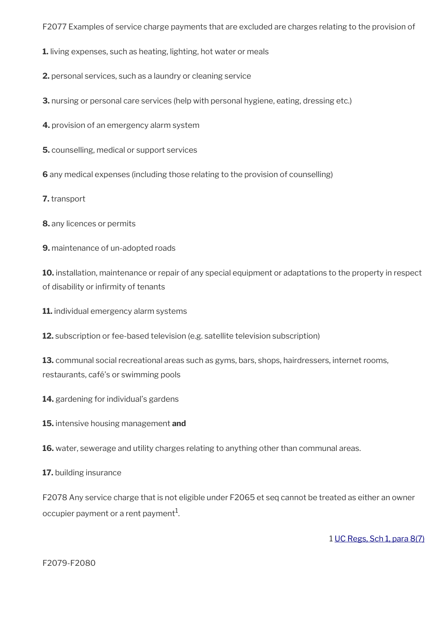F2077 Examples of service charge payments that are excluded are charges relating to the provision of

**1.** living expenses, such as heating, lighting, hot water or meals

**2.** personal services, such as a laundry or cleaning service

**3.** nursing or personal care services (help with personal hygiene, eating, dressing etc.)

**4.** provision of an emergency alarm system

**5.** counselling, medical or support services

**6** any medical expenses (including those relating to the provision of counselling)

**7.** transport

**8.** any licences or permits

**9.** maintenance of un-adopted roads

**10.** installation, maintenance or repair of any special equipment or adaptations to the property in respect of disability or infrmity of tenants

**11.** individual emergency alarm systems

**12.** subscription or fee-based television (e.g. satellite television subscription)

**13.** communal social recreational areas such as gyms, bars, shops, hairdressers, internet rooms, restaurants, café's or swimming pools

**14.** gardening for individual's gardens

**15.** intensive housing management **and**

**16.** water, sewerage and utility charges relating to anything other than communal areas.

**17.** building insurance

F2078 Any service charge that is not eligible under F2065 et seq cannot be treated as either an owner occupier payment or a rent payment $^1\!\!$ .

1 [UC Regs, Sch 1, para 8\(7\)](http://www.legislation.gov.uk/uksi/2013/376/schedule/1)

F2079-F2080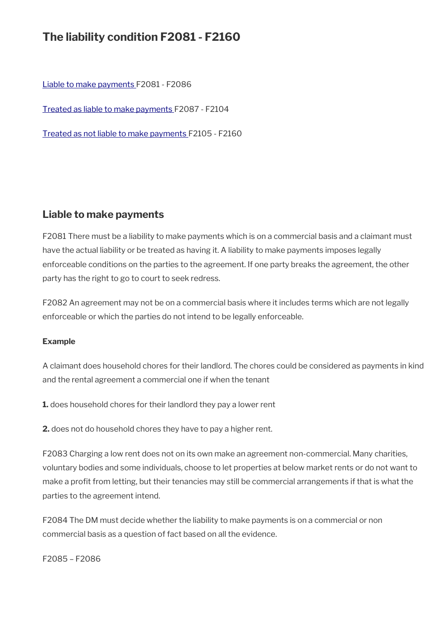# **The liability condition F2081 - F2160**

[Liable to make payments F](#page-17-0)2081 - F2086

[Treated as liable to make payments](#page-18-0) F2087 - F2104

[Treated as not liable to make payments](#page-19-0) F2105 - F2160

## <span id="page-17-0"></span>**Liable to make payments**

F2081 There must be a liability to make payments which is on a commercial basis and a claimant must have the actual liability or be treated as having it. A liability to make payments imposes legally enforceable conditions on the parties to the agreement. If one party breaks the agreement, the other party has the right to go to court to seek redress.

F2082 An agreement may not be on a commercial basis where it includes terms which are not legally enforceable or which the parties do not intend to be legally enforceable.

#### **Example**

A claimant does household chores for their landlord. The chores could be considered as payments in kind and the rental agreement a commercial one if when the tenant

**1.** does household chores for their landlord they pay a lower rent

**2.** does not do household chores they have to pay a higher rent.

F2083 Charging a low rent does not on its own make an agreement non-commercial. Many charities, voluntary bodies and some individuals, choose to let properties at below market rents or do not want to make a profit from letting, but their tenancies may still be commercial arrangements if that is what the parties to the agreement intend.

F2084 The DM must decide whether the liability to make payments is on a commercial or non commercial basis as a question of fact based on all the evidence.

F2085 – F2086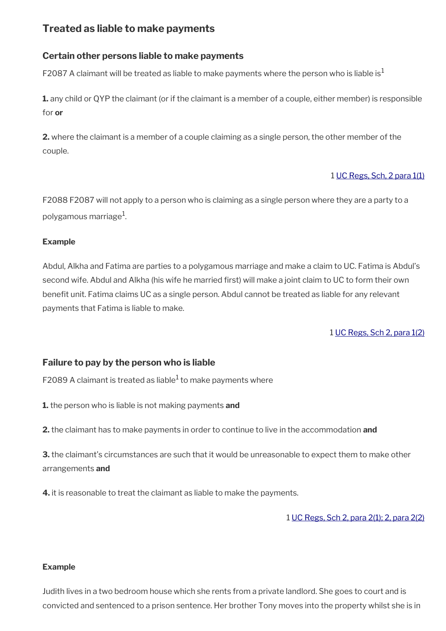## <span id="page-18-0"></span>**Treated as liable to make payments**

## **Certain other persons liable to make payments**

F2087 A claimant will be treated as liable to make payments where the person who is liable is<sup>1</sup>

**1.** any child or QYP the claimant (or if the claimant is a member of a couple, either member) is responsible for **or**

**2.** where the claimant is a member of a couple claiming as a single person, the other member of the couple.

### 1 [UC Regs, Sch, 2 para 1\(1\)](http://www.legislation.gov.uk/uksi/2013/376/schedule/2)

F2088 F2087 will not apply to a person who is claiming as a single person where they are a party to a polygamous marriage<sup>1</sup>.

#### **Example**

Abdul, Alkha and Fatima are parties to a polygamous marriage and make a claim to UC. Fatima is Abdul's second wife. Abdul and Alkha (his wife he married frst) will make a joint claim to UC to form their own benefit unit. Fatima claims UC as a single person. Abdul cannot be treated as liable for any relevant payments that Fatima is liable to make.

1 [UC Regs, Sch 2, para 1\(2\)](http://www.legislation.gov.uk/uksi/2013/376/schedule/2)

## **Failure to pay by the person who is liable**

F2089 A claimant is treated as liable $^1$  to make payments where

**1.** the person who is liable is not making payments **and**

**2.** the claimant has to make payments in order to continue to live in the accommodation **and**

**3.** the claimant's circumstances are such that it would be unreasonable to expect them to make other arrangements **and**

**4.** it is reasonable to treat the claimant as liable to make the payments.

1 [UC Regs, Sch 2, para 2\(1\); 2, para 2\(2\)](http://www.legislation.gov.uk/uksi/2013/376/schedule/2)

#### **Example**

Judith lives in a two bedroom house which she rents from a private landlord. She goes to court and is convicted and sentenced to a prison sentence. Her brother Tony moves into the property whilst she is in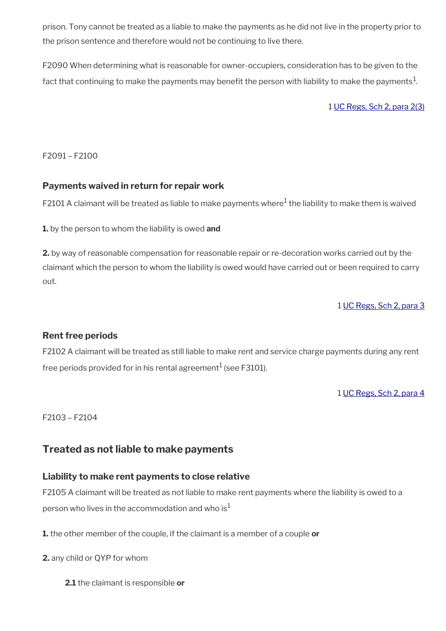prison. Tony cannot be treated as a liable to make the payments as he did not live in the property prior to the prison sentence and therefore would not be continuing to live there.

F2090 When determining what is reasonable for owner-occupiers, consideration has to be given to the fact that continuing to make the payments may benefit the person with liability to make the payments $^{\mathrm{1}}$ .

1 [UC Regs, Sch 2, para 2\(3\)](http://www.legislation.gov.uk/uksi/2013/376/schedule/2)

F2091 – F2100

#### **Payments waived in return for repair work**

F2101 A claimant will be treated as liable to make payments where $^{\rm 1}$  the liability to make them is waived

**1.** by the person to whom the liability is owed **and**

**2.** by way of reasonable compensation for reasonable repair or re-decoration works carried out by the claimant which the person to whom the liability is owed would have carried out or been required to carry out.

1 [UC Regs, Sch 2, para 3](http://www.legislation.gov.uk/uksi/2013/376/schedule/2)

#### **Rent free periods**

F2102 A claimant will be treated as still liable to make rent and service charge payments during any rent free periods provided for in his rental agreement $^1$  (see F3101).

1 [UC Regs, Sch 2, para 4](http://www.legislation.gov.uk/uksi/2013/376/schedule/2)

F2103 – F2104

## <span id="page-19-0"></span>**Treated as not liable to make payments**

#### **Liability to make rent payments to close relative**

F2105 A claimant will be treated as not liable to make rent payments where the liability is owed to a person who lives in the accommodation and who is<sup>1</sup>

**1.** the other member of the couple, if the claimant is a member of a couple **or**

**2.** any child or QYP for whom

**2.1** the claimant is responsible **or**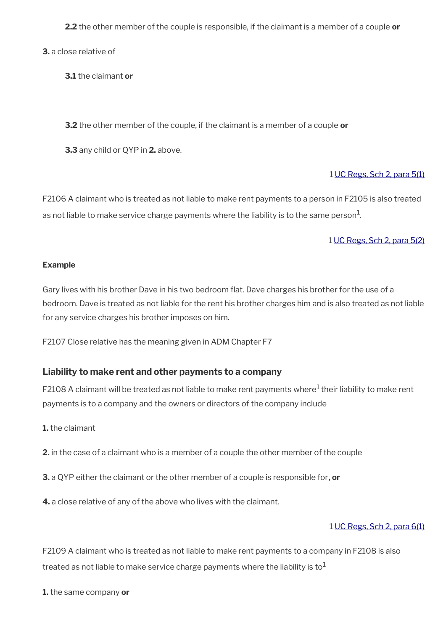**2.2** the other member of the couple is responsible, if the claimant is a member of a couple **or 3.** a close relative of

**3.1** the claimant **or**

**3.2** the other member of the couple, if the claimant is a member of a couple **or**

**3.3** any child or QYP in **2.** above.

#### 1 [UC Regs, Sch 2, para 5\(1\)](http://www.legislation.gov.uk/uksi/2013/376/schedule/2)

F2106 A claimant who is treated as not liable to make rent payments to a person in F2105 is also treated as not liable to make service charge payments where the liability is to the same person $^1\!$ 

#### 1 [UC Regs, Sch 2, para 5\(2\)](http://www.legislation.gov.uk/uksi/2013/376/schedule/2)

#### **Example**

Gary lives with his brother Dave in his two bedroom flat. Dave charges his brother for the use of a bedroom. Dave is treated as not liable for the rent his brother charges him and is also treated as not liable for any service charges his brother imposes on him.

F2107 Close relative has the meaning given in ADM Chapter F7

#### **Liability to make rent and other payments to a company**

F2108 A claimant will be treated as not liable to make rent payments where<sup>1</sup> their liability to make rent payments is to a company and the owners or directors of the company include

- **1.** the claimant
- **2.** in the case of a claimant who is a member of a couple the other member of the couple
- **3.** a QYP either the claimant or the other member of a couple is responsible for**, or**

**4.** a close relative of any of the above who lives with the claimant.

#### 1 [UC Regs, Sch 2, para 6\(1\)](http://www.legislation.gov.uk/uksi/2013/376/schedule/2)

F2109 A claimant who is treated as not liable to make rent payments to a company in F2108 is also treated as not liable to make service charge payments where the liability is to<sup>1</sup>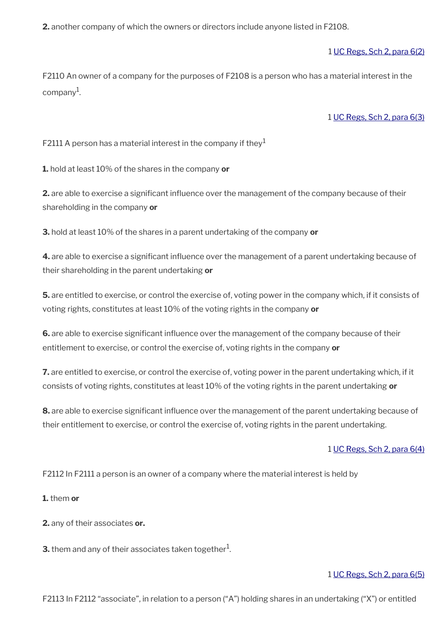**2.** another company of which the owners or directors include anyone listed in F2108.

#### 1 [UC Regs, Sch 2, para 6\(2\)](http://www.legislation.gov.uk/uksi/2013/376/schedule/2)

F2110 An owner of a company for the purposes of F2108 is a person who has a material interest in the company<sup>1</sup>.

1 [UC Regs, Sch 2, para 6\(3\)](http://www.legislation.gov.uk/uksi/2013/376/schedule/2)

F2111 A person has a material interest in the company if they<sup>1</sup>

**1.** hold at least 10% of the shares in the company **or**

**2.** are able to exercise a signifcant infuence over the management of the company because of their shareholding in the company **or**

**3.** hold at least 10% of the shares in a parent undertaking of the company **or**

**4.** are able to exercise a signifcant infuence over the management of a parent undertaking because of their shareholding in the parent undertaking **or**

**5.** are entitled to exercise, or control the exercise of, voting power in the company which, if it consists of voting rights, constitutes at least 10% of the voting rights in the company **or**

**6.** are able to exercise significant influence over the management of the company because of their entitlement to exercise, or control the exercise of, voting rights in the company **or**

**7.** are entitled to exercise, or control the exercise of, voting power in the parent undertaking which, if it consists of voting rights, constitutes at least 10% of the voting rights in the parent undertaking **or**

**8.** are able to exercise significant influence over the management of the parent undertaking because of their entitlement to exercise, or control the exercise of, voting rights in the parent undertaking.

#### 1 [UC Regs, Sch 2, para 6\(4\)](http://www.legislation.gov.uk/uksi/2013/376/schedule/2)

F2112 In F2111 a person is an owner of a company where the material interest is held by

#### **1.** them **or**

**2.** any of their associates **or.**

 ${\bf 3}.$  them and any of their associates taken together $^1$ .

#### 1 [UC Regs, Sch 2, para 6\(5\)](http://www.legislation.gov.uk/uksi/2013/376/schedule/2)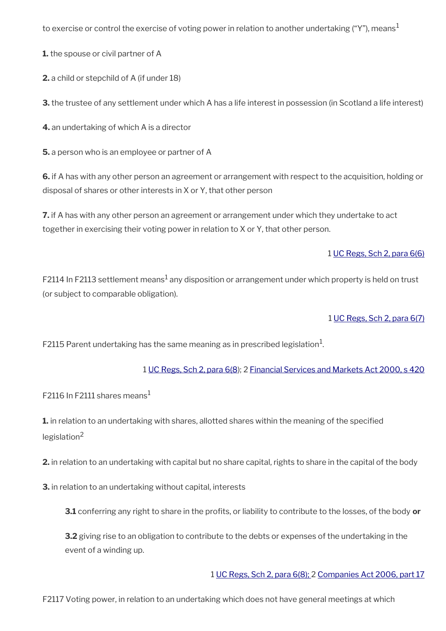to exercise or control the exercise of voting power in relation to another undertaking ("Y"), means<sup>1</sup>

**1.** the spouse or civil partner of A

**2.** a child or stepchild of A (if under 18)

**3.** the trustee of any settlement under which A has a life interest in possession (in Scotland a life interest)

**4.** an undertaking of which A is a director

**5.** a person who is an employee or partner of A

**6.** if A has with any other person an agreement or arrangement with respect to the acquisition, holding or disposal of shares or other interests in X or Y, that other person

**7.** if A has with any other person an agreement or arrangement under which they undertake to act together in exercising their voting power in relation to X or Y, that other person.

#### 1 [UC Regs, Sch 2, para 6\(6\)](http://www.legislation.gov.uk/uksi/2013/376/schedule/2)

F2114 In F2113 settlement means<sup>1</sup> any disposition or arrangement under which property is held on trust (or subject to comparable obligation).

1 [UC Regs, Sch 2, para 6\(7\)](http://www.legislation.gov.uk/uksi/2013/376/schedule/2)

<code>F2115</code> Parent undertaking has the same meaning as in prescribed legislation $^{\mathrm{1}}$ .

#### 1 [UC Regs, Sch 2, para 6\(8](http://www.legislation.gov.uk/uksi/2013/376/schedule/2)); 2 [Financial Services and Markets Act 2000, s 420](http://www.legislation.gov.uk/ukpga/2000/8/section/420)

F2116 In F2111 shares means<sup>1</sup>

**1.** in relation to an undertaking with shares, allotted shares within the meaning of the specified legislation<sup>2</sup>

**2.** in relation to an undertaking with capital but no share capital, rights to share in the capital of the body

**3.** in relation to an undertaking without capital, interests

**3.1** conferring any right to share in the profits, or liability to contribute to the losses, of the body or

**3.2** giving rise to an obligation to contribute to the debts or expenses of the undertaking in the event of a winding up.

1 [UC Regs, Sch 2, para 6\(8\); 2](http://www.legislation.gov.uk/uksi/2013/376/schedule/2) [Companies Act 2006, part 17](http://www.legislation.gov.uk/ukpga/2006/46/part/17)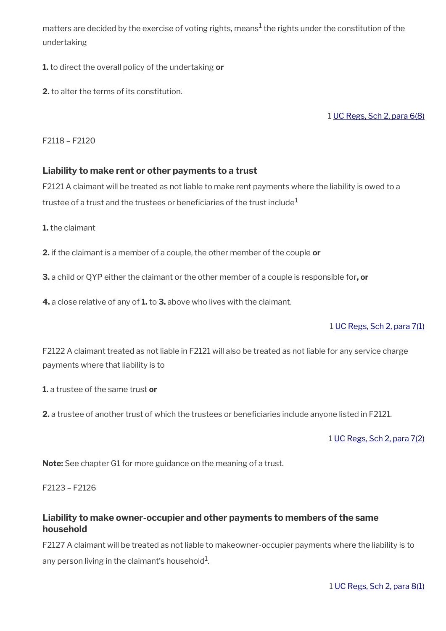matters are decided by the exercise of voting rights, means $^1$  the rights under the constitution of the undertaking

**1.** to direct the overall policy of the undertaking **or**

**2.** to alter the terms of its constitution.

1 [UC Regs, Sch 2, para 6\(8\)](http://www.legislation.gov.uk/uksi/2013/376/schedule/2)

F2118 – F2120

#### **Liability to make rent or other payments to a trust**

F2121 A claimant will be treated as not liable to make rent payments where the liability is owed to a trustee of a trust and the trustees or beneficiaries of the trust include<sup>1</sup>

**1.** the claimant

**2.** if the claimant is a member of a couple, the other member of the couple **or**

**3.** a child or QYP either the claimant or the other member of a couple is responsible for**, or**

**4.** a close relative of any of **1.** to **3.** above who lives with the claimant.

#### 1 [UC Regs, Sch 2, para 7\(1\)](http://www.legislation.gov.uk/uksi/2013/376/schedule/2)

F2122 A claimant treated as not liable in F2121 will also be treated as not liable for any service charge payments where that liability is to

**1.** a trustee of the same trust **or**

**2.** a trustee of another trust of which the trustees or beneficiaries include anyone listed in F2121.

1 [UC Regs, Sch 2, para 7\(2\)](http://www.legislation.gov.uk/uksi/2013/376/schedule/2)

**Note:** See chapter G1 for more guidance on the meaning of a trust.

F2123 – F2126

## **Liability to make owner-occupier and other payments to members of the same household**

F2127 A claimant will be treated as not liable to makeowner-occupier payments where the liability is to any person living in the claimant's household $^{\rm 1}$ .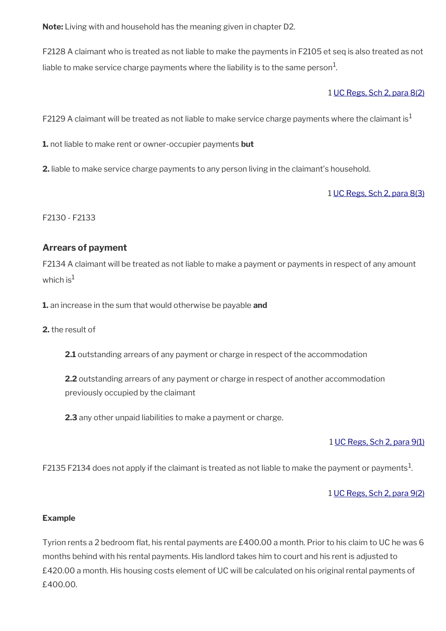**Note:** Living with and household has the meaning given in chapter D2.

F2128 A claimant who is treated as not liable to make the payments in F2105 et seq is also treated as not liable to make service charge payments where the liability is to the same person $^1\!$ 

1 [UC Regs, Sch 2, para 8\(2\)](http://www.legislation.gov.uk/uksi/2013/376/schedule/2)

F2129 A claimant will be treated as not liable to make service charge payments where the claimant is<sup>1</sup>

**1.** not liable to make rent or owner-occupier payments **but**

**2.** liable to make service charge payments to any person living in the claimant's household.

1 [UC Regs, Sch 2, para 8\(3\)](http://www.legislation.gov.uk/uksi/2013/376/schedule/2)

F2130 - F2133

### **Arrears of payment**

F2134 A claimant will be treated as not liable to make a payment or payments in respect of any amount which is $<sup>1</sup>$ </sup>

**1.** an increase in the sum that would otherwise be payable **and**

**2.** the result of

**2.1** outstanding arrears of any payment or charge in respect of the accommodation

**2.2** outstanding arrears of any payment or charge in respect of another accommodation previously occupied by the claimant

**2.3** any other unpaid liabilities to make a payment or charge.

#### 1 [UC Regs, Sch 2, para 9\(1\)](http://www.legislation.gov.uk/uksi/2013/376/schedule/2)

<code>F2135</code> <code>F2134</code> does not apply if the claimant is treated as not liable to make the payment or payments $^{\rm 1}$ .

#### 1 [UC Regs, Sch 2, para 9\(2\)](http://www.legislation.gov.uk/uksi/2013/376/schedule/2)

#### **Example**

Tyrion rents a 2 bedroom flat, his rental payments are £400.00 a month. Prior to his claim to UC he was 6 months behind with his rental payments. His landlord takes him to court and his rent is adjusted to £420.00 a month. His housing costs element of UC will be calculated on his original rental payments of £400.00.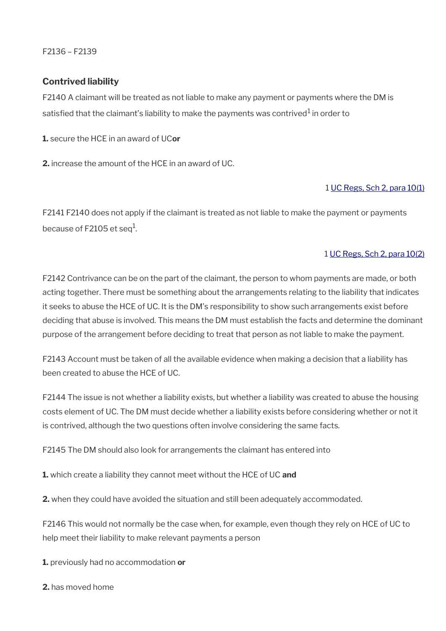F2136 – F2139

## **Contrived liability**

F2140 A claimant will be treated as not liable to make any payment or payments where the DM is satisfied that the claimant's liability to make the payments was contrived $^{\rm 1}$  in order to

**1.** secure the HCE in an award of UC**or**

**2.** increase the amount of the HCE in an award of UC.

### 1 [UC Regs, Sch 2, para 10\(1\)](http://www.legislation.gov.uk/uksi/2013/376/schedule/2)

F2141 F2140 does not apply if the claimant is treated as not liable to make the payment or payments because of F2105 et seq $^{\rm 1}$ .

### 1 [UC Regs, Sch 2, para 10\(2\)](http://www.legislation.gov.uk/uksi/2013/376/schedule/2)

F2142 Contrivance can be on the part of the claimant, the person to whom payments are made, or both acting together. There must be something about the arrangements relating to the liability that indicates it seeks to abuse the HCE of UC. It is the DM's responsibility to show such arrangements exist before deciding that abuse is involved. This means the DM must establish the facts and determine the dominant purpose of the arrangement before deciding to treat that person as not liable to make the payment.

F2143 Account must be taken of all the available evidence when making a decision that a liability has been created to abuse the HCE of UC.

F2144 The issue is not whether a liability exists, but whether a liability was created to abuse the housing costs element of UC. The DM must decide whether a liability exists before considering whether or not it is contrived, although the two questions often involve considering the same facts.

F2145 The DM should also look for arrangements the claimant has entered into

**1.** which create a liability they cannot meet without the HCE of UC **and**

**2.** when they could have avoided the situation and still been adequately accommodated.

F2146 This would not normally be the case when, for example, even though they rely on HCE of UC to help meet their liability to make relevant payments a person

**1.** previously had no accommodation **or**

**2.** has moved home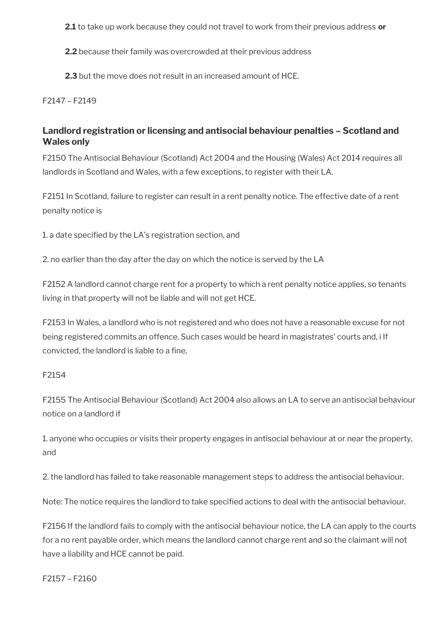**2.1** to take up work because they could not travel to work from their previous address **or**

**2.2** because their family was overcrowded at their previous address

**2.3** but the move does not result in an increased amount of HCE.

F2147 – F2149

## **Landlord registration or licensing and antisocial behaviour penalties – Scotland and Wales only**

F2150 The Antisocial Behaviour (Scotland) Act 2004 and the Housing (Wales) Act 2014 requires all landlords in Scotland and Wales, with a few exceptions, to register with their LA.

F2151 In Scotland, failure to register can result in a rent penalty notice. The effective date of a rent penalty notice is

1. a date specifed by the LA's registration section, and

2. no earlier than the day after the day on which the notice is served by the LA

F2152 A landlord cannot charge rent for a property to which a rent penalty notice applies, so tenants living in that property will not be liable and will not get HCE.

F2153 In Wales, a landlord who is not registered and who does not have a reasonable excuse for not being registered commits an offence. Such cases would be heard in magistrates' courts and, i If convicted, the landlord is liable to a fine.

#### F2154

F2155 The Antisocial Behaviour (Scotland) Act 2004 also allows an LA to serve an antisocial behaviour notice on a landlord if

1. anyone who occupies or visits their property engages in antisocial behaviour at or near the property, and

2. the landlord has failed to take reasonable management steps to address the antisocial behaviour.

Note: The notice requires the landlord to take specifed actions to deal with the antisocial behaviour.

F2156 If the landlord fails to comply with the antisocial behaviour notice, the LA can apply to the courts for a no rent payable order, which means the landlord cannot charge rent and so the claimant will not have a liability and HCE cannot be paid.

#### F2157 – F2160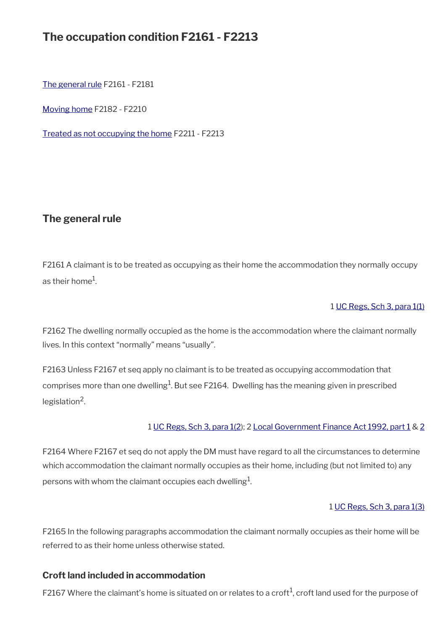# **The occupation condition F2161 - F2213**

[The general rule](#page-27-0) F2161 - F2181

[Moving home](#page-29-0) F2182 - F2210

[Treated as not occupying the home](#page-33-0) F2211 - F2213

## <span id="page-27-0"></span>**The general rule**

F2161 A claimant is to be treated as occupying as their home the accommodation they normally occupy as their home $^{\rm 1}$ .

#### 1 [UC Regs, Sch 3, para 1\(1\)](http://www.legislation.gov.uk/uksi/2013/376/schedule/3)

F2162 The dwelling normally occupied as the home is the accommodation where the claimant normally lives. In this context "normally" means "usually".

F2163 Unless F2167 et seq apply no claimant is to be treated as occupying accommodation that comprises more than one dwelling $^1$ . But see F2164. Dwelling has the meaning given in prescribed legislation<sup>2</sup>.

#### 1 [UC Regs, Sch 3, para 1\(2\)](http://www.legislation.gov.uk/uksi/2013/376/schedule/3); 2 [Local Government Finance Act 1992, part 1](http://www.legislation.gov.uk/ukpga/1992/14/part/I) & [2](http://www.legislation.gov.uk/ukpga/1992/14/part/II)

F2164 Where F2167 et seq do not apply the DM must have regard to all the circumstances to determine which accommodation the claimant normally occupies as their home, including (but not limited to) any persons with whom the claimant occupies each dwelling $^{\mathrm{1}}$ .

#### 1 [UC Regs, Sch 3, para 1\(3\)](http://www.legislation.gov.uk/uksi/2013/376/schedule/3)

F2165 In the following paragraphs accommodation the claimant normally occupies as their home will be referred to as their home unless otherwise stated.

## **Croft land included in accommodation**

F2167 Where the claimant's home is situated on or relates to a croft $^1$ , croft land used for the purpose of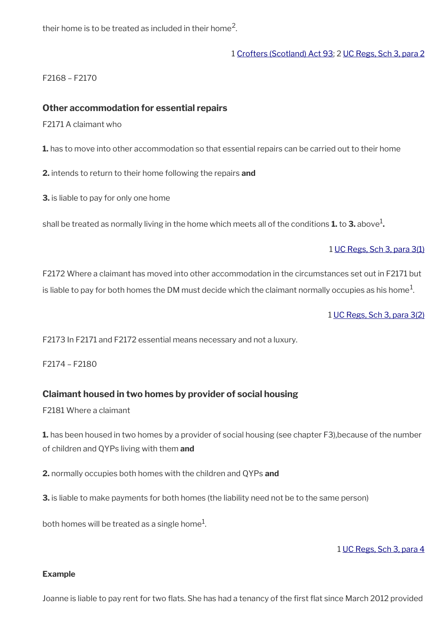their home is to be treated as included in their home<sup>2</sup>.

#### 1 [Crofters \(Scotland\) Act 93;](http://www.legislation.gov.uk/ukpga/1993/44/contents) 2 [UC Regs, Sch 3, para 2](http://www.legislation.gov.uk/uksi/2013/376/schedule/3)

F2168 – F2170

#### **Other accommodation for essential repairs**

F2171 A claimant who

**1.** has to move into other accommodation so that essential repairs can be carried out to their home

**2.** intends to return to their home following the repairs **and**

**3.** is liable to pay for only one home

shall be treated as normally living in the home which meets all of the conditions  $\boldsymbol{1}$ . to  $\boldsymbol{3}$ . above $^1$ .

1 [UC Regs, Sch 3, para 3\(1\)](http://www.legislation.gov.uk/uksi/2013/376/schedule/3)

F2172 Where a claimant has moved into other accommodation in the circumstances set out in F2171 but is liable to pay for both homes the DM must decide which the claimant normally occupies as his home $^1\!$ 

1 [UC Regs, Sch 3, para 3\(2\)](http://www.legislation.gov.uk/uksi/2013/376/schedule/3)

F2173 In F2171 and F2172 essential means necessary and not a luxury.

F2174 – F2180

#### **Claimant housed in two homes by provider of social housing**

F2181 Where a claimant

**1.** has been housed in two homes by a provider of social housing (see chapter F3), because of the number of children and QYPs living with them **and**

**2.** normally occupies both homes with the children and QYPs **and**

**3.** is liable to make payments for both homes (the liability need not be to the same person)

both homes will be treated as a single home $^1\!\!$ 

1 [UC Regs, Sch 3, para 4](http://www.legislation.gov.uk/uksi/2013/376/schedule/3)

#### **Example**

Joanne is liable to pay rent for two flats. She has had a tenancy of the first flat since March 2012 provided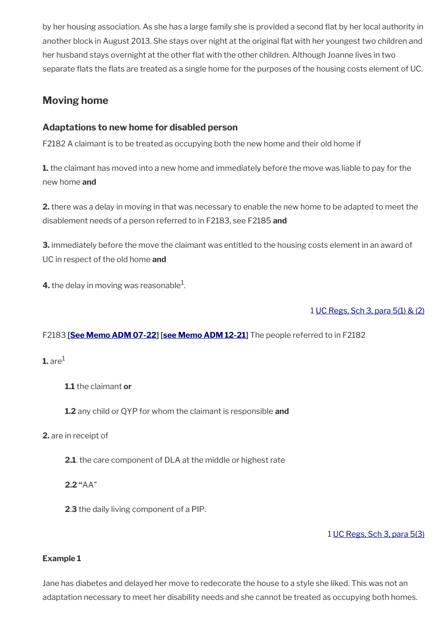by her housing association. As she has a large family she is provided a second flat by her local authority in another block in August 2013. She stays over night at the original fat with her youngest two children and her husband stays overnight at the other flat with the other children. Although Joanne lives in two separate flats the flats are treated as a single home for the purposes of the housing costs element of UC.

## <span id="page-29-0"></span>**Moving home**

## **Adaptations to new home for disabled person**

F2182 A claimant is to be treated as occupying both the new home and their old home if

**1.** the claimant has moved into a new home and immediately before the move was liable to pay for the new home **and**

**2.** there was a delay in moving in that was necessary to enable the new home to be adapted to meet the disablement needs of a person referred to in F2183, see F2185 **and**

**3.** immediately before the move the claimant was entitled to the housing costs element in an award of UC in respect of the old home **and**

**4.** the delay in moving was reasonable $^1$ .

## 1 [UC Regs, Sch 3, para 5\(1\) & \(2\)](http://www.legislation.gov.uk/uksi/2013/376/schedule/3)

## F2183 **[\[See Memo ADM 07-22](https://intranet.dwp.gov.uk/manual/advice-decision-making-adm/07-22-adult-disability-payment-uc-esa-ns-jsa-ns)] [[see Memo ADM 12-21](https://intranet.dwp.gov.uk/manual/advice-decision-making-adm/12-21-disability-assistance-children-and-young-people-consequential-amendments-social-security)]** The people referred to in F2182

**1.** are<sup>1</sup>

**1.1** the claimant **or**

**1.2** any child or QYP for whom the claimant is responsible **and**

## **2.** are in receipt of

- **2.1**. the care component of DLA at the middle or highest rate
- **2.2 "**AA"

**2**.**3** the daily living component of a PIP.

1 [UC Regs, Sch 3, para 5\(3\)](http://www.legislation.gov.uk/uksi/2013/376/schedule/3)

## **Example 1**

Jane has diabetes and delayed her move to redecorate the house to a style she liked. This was not an adaptation necessary to meet her disability needs and she cannot be treated as occupying both homes.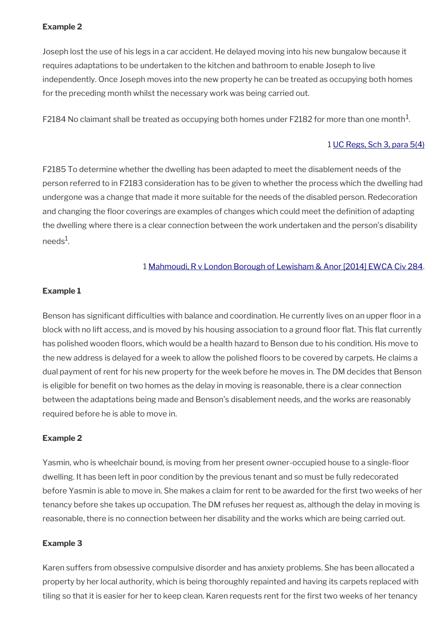### **Example 2**

Joseph lost the use of his legs in a car accident. He delayed moving into his new bungalow because it requires adaptations to be undertaken to the kitchen and bathroom to enable Joseph to live independently. Once Joseph moves into the new property he can be treated as occupying both homes for the preceding month whilst the necessary work was being carried out.

<code>F2184</code> No claimant shall be treated as occupying both homes under <code>F2182</code> for more than one month $^{\rm 1}$ .

#### 1 [UC Regs, Sch 3, para 5\(4\)](http://www.legislation.gov.uk/uksi/2013/376/schedule/3)

F2185 To determine whether the dwelling has been adapted to meet the disablement needs of the person referred to in F2183 consideration has to be given to whether the process which the dwelling had undergone was a change that made it more suitable for the needs of the disabled person. Redecoration and changing the floor coverings are examples of changes which could meet the definition of adapting the dwelling where there is a clear connection between the work undertaken and the person's disability needs $^1$ .

#### 1 [Mahmoudi, R v London Borough of Lewisham & Anor \[2014\] EWCA Civ 284.](http://administrativeappeals.decisions.tribunals.gov.uk/Aspx/view.aspx?id=3678)

#### **Example 1**

Benson has significant difficulties with balance and coordination. He currently lives on an upper floor in a block with no lift access, and is moved by his housing association to a ground floor flat. This flat currently has polished wooden floors, which would be a health hazard to Benson due to his condition. His move to the new address is delayed for a week to allow the polished floors to be covered by carpets. He claims a dual payment of rent for his new property for the week before he moves in. The DM decides that Benson is eligible for benefit on two homes as the delay in moving is reasonable, there is a clear connection between the adaptations being made and Benson's disablement needs, and the works are reasonably required before he is able to move in.

#### **Example 2**

Yasmin, who is wheelchair bound, is moving from her present owner-occupied house to a single-foor dwelling. It has been left in poor condition by the previous tenant and so must be fully redecorated before Yasmin is able to move in. She makes a claim for rent to be awarded for the frst two weeks of her tenancy before she takes up occupation. The DM refuses her request as, although the delay in moving is reasonable, there is no connection between her disability and the works which are being carried out.

#### **Example 3**

Karen suffers from obsessive compulsive disorder and has anxiety problems. She has been allocated a property by her local authority, which is being thoroughly repainted and having its carpets replaced with tiling so that it is easier for her to keep clean. Karen requests rent for the first two weeks of her tenancy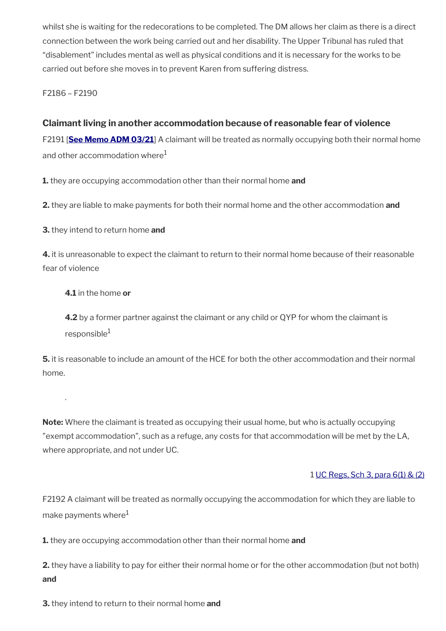whilst she is waiting for the redecorations to be completed. The DM allows her claim as there is a direct connection between the work being carried out and her disability. The Upper Tribunal has ruled that "disablement" includes mental as well as physical conditions and it is necessary for the works to be carried out before she moves in to prevent Karen from suffering distress.

F2186 – F2190

## **Claimant living in another accommodation because of reasonable fear of violence**

F2191 [**[See Memo ADM 03/21](http://intranet.dwp.gov.uk/manual/advice-decision-making-adm/0321-transferring-smi-loans)**] A claimant will be treated as normally occupying both their normal home and other accommodation where $<sup>1</sup>$ </sup>

**1.** they are occupying accommodation other than their normal home **and**

**2.** they are liable to make payments for both their normal home and the other accommodation **and**

**3.** they intend to return home **and**

**4.** it is unreasonable to expect the claimant to return to their normal home because of their reasonable fear of violence

**4.1** in the home **or**

.

**4.2** by a former partner against the claimant or any child or QYP for whom the claimant is  $responsible<sup>1</sup>$ 

**5.** it is reasonable to include an amount of the HCE for both the other accommodation and their normal home.

**Note:** Where the claimant is treated as occupying their usual home, but who is actually occupying "exempt accommodation", such as a refuge, any costs for that accommodation will be met by the LA, where appropriate, and not under UC.

#### 1 [UC Regs, Sch 3, para 6\(1\) & \(2\)](http://www.legislation.gov.uk/uksi/2013/376/schedule/3)

F2192 A claimant will be treated as normally occupying the accommodation for which they are liable to make payments where $<sup>1</sup>$ </sup>

**1.** they are occupying accommodation other than their normal home **and**

**2.** they have a liability to pay for either their normal home or for the other accommodation (but not both) **and**

**3.** they intend to return to their normal home **and**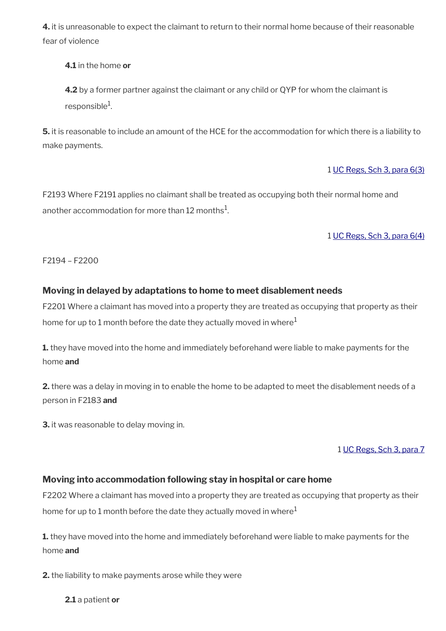**4.** it is unreasonable to expect the claimant to return to their normal home because of their reasonable fear of violence

**4.1** in the home **or** 

**4.2** by a former partner against the claimant or any child or QYP for whom the claimant is responsible $^1$ .

**5.** it is reasonable to include an amount of the HCE for the accommodation for which there is a liability to make payments.

## 1 [UC Regs, Sch 3, para 6\(3\)](http://www.legislation.gov.uk/uksi/2013/376/schedule/3)

F2193 Where F2191 applies no claimant shall be treated as occupying both their normal home and another accommodation for more than 12 months $^{\mathrm{1}}$ .

1 [UC Regs, Sch 3, para 6\(4\)](http://www.legislation.gov.uk/uksi/2013/376/schedule/3)

F2194 – F2200

## **Moving in delayed by adaptations to home to meet disablement needs**

F2201 Where a claimant has moved into a property they are treated as occupying that property as their home for up to 1 month before the date they actually moved in where<sup>1</sup>

**1.** they have moved into the home and immediately beforehand were liable to make payments for the home **and**

**2.** there was a delay in moving in to enable the home to be adapted to meet the disablement needs of a person in F2183 **and**

**3.** it was reasonable to delay moving in.

## 1 [UC Regs, Sch 3, para 7](http://www.legislation.gov.uk/uksi/2013/376/schedule/3)

## **Moving into accommodation following stay in hospital or care home**

F2202 Where a claimant has moved into a property they are treated as occupying that property as their home for up to 1 month before the date they actually moved in where<sup>1</sup>

**1.** they have moved into the home and immediately beforehand were liable to make payments for the home **and**

**2.** the liability to make payments arose while they were

**2.1** a patient **or**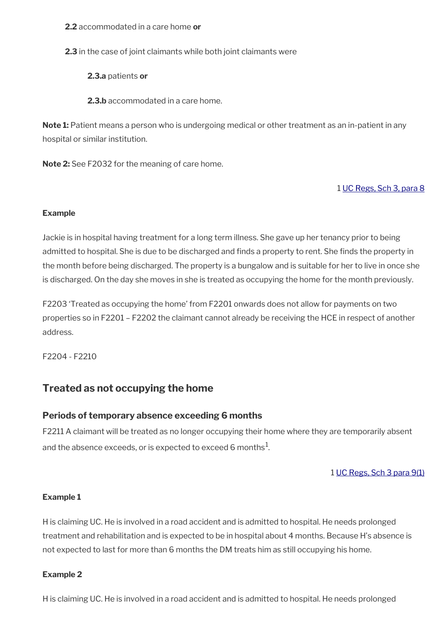#### **2.2** accommodated in a care home **or**

**2.3** in the case of joint claimants while both joint claimants were

**2.3.a** patients **or** 

**2.3.b** accommodated in a care home.

**Note 1:** Patient means a person who is undergoing medical or other treatment as an in-patient in any hospital or similar institution.

**Note 2:** See F2032 for the meaning of care home.

#### 1 [UC Regs, Sch 3, para 8](http://www.legislation.gov.uk/uksi/2013/376/schedule/3)

#### **Example**

Jackie is in hospital having treatment for a long term illness. She gave up her tenancy prior to being admitted to hospital. She is due to be discharged and finds a property to rent. She finds the property in the month before being discharged. The property is a bungalow and is suitable for her to live in once she is discharged. On the day she moves in she is treated as occupying the home for the month previously.

F2203 'Treated as occupying the home' from F2201 onwards does not allow for payments on two properties so in F2201 – F2202 the claimant cannot already be receiving the HCE in respect of another address.

F2204 - F2210

## <span id="page-33-0"></span>**Treated as not occupying the home**

#### **Periods of temporary absence exceeding 6 months**

F2211 A claimant will be treated as no longer occupying their home where they are temporarily absent and the absence exceeds, or is expected to exceed 6 months $^{\mathrm{1}}$ .

1 [UC Regs, Sch 3 para 9\(1\)](http://www.legislation.gov.uk/uksi/2013/376/schedule/3)

#### **Example 1**

H is claiming UC. He is involved in a road accident and is admitted to hospital. He needs prolonged treatment and rehabilitation and is expected to be in hospital about 4 months. Because H's absence is not expected to last for more than 6 months the DM treats him as still occupying his home.

#### **Example 2**

H is claiming UC. He is involved in a road accident and is admitted to hospital. He needs prolonged